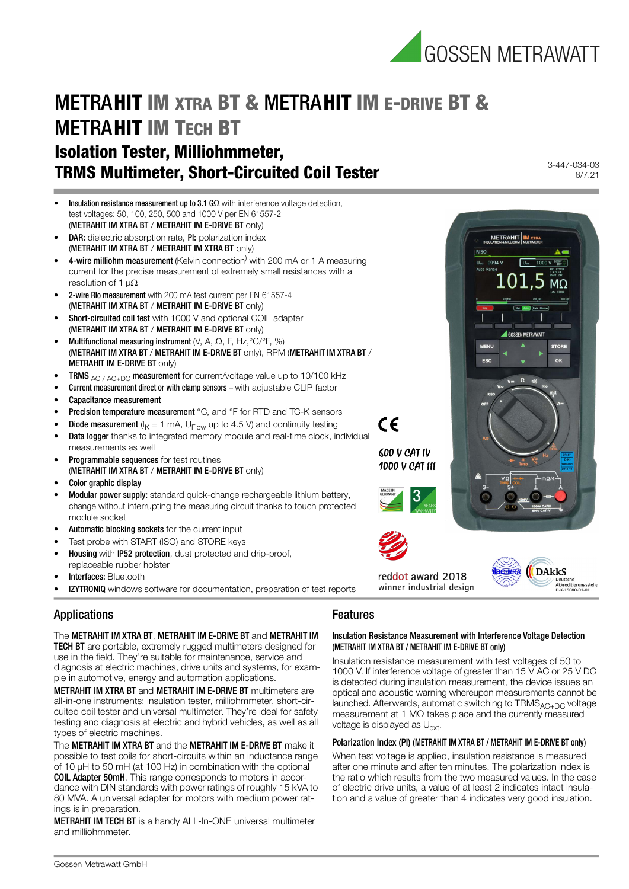

## METRAHIT IM XTRA BT & METRAHIT IM E-DRIVE BT & **METRAHIT IM TECH BT** Isolation Tester, Milliohmmeter, TRMS Multimeter, Short-Circuited Coil Tester

- **Insulation resistance measurement up to 3.1 G** $\Omega$  with interference voltage detection, test voltages: 50, 100, 250, 500 and 1000 V per EN 61557-2 (METRAHIT IM XTRA BT / METRAHIT IM E-DRIVE BT only)
- **DAR:** dielectric absorption rate, PI: polarization index (METRAHIT IM XTRA BT / METRAHIT IM XTRA BT only)
- $\bullet$  4-wire milliohm measurement (Kelvin connection) with 200 mA or 1 A measuring current for the precise measurement of extremely small resistances with a resolution of 1 μ $\Omega$
- 2-wire Rlo measurement with 200 mA test current per EN 61557-4 (METRAHIT IM XTRA BT / METRAHIT IM E-DRIVE BT only)
- Short-circuited coil test with 1000 V and optional COIL adapter (METRAHIT IM XTRA BT / METRAHIT IM E-DRIVE BT only)
- Multifunctional measuring instrument  $(V, A, \Omega, F, Hz, {}^{\circ}C/{}^{\circ}F, \%)$ (METRAHIT IM XTRA BT / METRAHIT IM E-DRIVE BT only), RPM (METRAHIT IM XTRA BT / METRAHIT IM E-DRIVE BT only)
- TRMS  $_{AC / AC+DC}$  measurement for current/voltage value up to 10/100 kHz
- Current measurement direct or with clamp sensors with adjustable CLIP factor
- Capacitance measurement
- **Precision temperature measurement** °C, and °F for RTD and TC-K sensors
- **Diode measurement** ( $I_K = 1$  mA,  $U_{Flow}$  up to 4.5 V) and continuity testing
- Data logger thanks to integrated memory module and real-time clock, individual measurements as well
- **Programmable sequences** for test routines (METRAHIT IM XTRA BT / METRAHIT IM E-DRIVE BT only)
- Color graphic display
- Modular power supply: standard quick-change rechargeable lithium battery, change without interrupting the measuring circuit thanks to touch protected module socket
- Automatic blocking sockets for the current input
- Test probe with START (ISO) and STORE keys
- Housing with IP52 protection, dust protected and drip-proof, replaceable rubber holster
- Interfaces: Bluetooth
- **IZYTRONIQ** windows software for documentation, preparation of test reports

## Applications

The METRAHIT IM XTRA BT, METRAHIT IM E-DRIVE BT and METRAHIT IM TECH BT are portable, extremely rugged multimeters designed for use in the field. They're suitable for maintenance, service and diagnosis at electric machines, drive units and systems, for example in automotive, energy and automation applications.

METRAHIT IM XTRA BT and METRAHIT IM E-DRIVE BT multimeters are all-in-one instruments: insulation tester, milliohmmeter, short-circuited coil tester and universal multimeter. They're ideal for safety testing and diagnosis at electric and hybrid vehicles, as well as all types of electric machines.

The METRAHIT IM XTRA BT and the METRAHIT IM E-DRIVE BT make it possible to test coils for short-circuits within an inductance range of 10 μH to 50 mH (at 100 Hz) in combination with the optional COIL Adapter 50mH. This range corresponds to motors in accordance with DIN standards with power ratings of roughly 15 kVA to 80 MVA. A universal adapter for motors with medium power ratings is in preparation.

### METRAHIT IM TECH BT is a handy ALL-In-ONE universal multimeter and milliohmmeter.

### Features

 $\epsilon$ 

### Insulation Resistance Measurement with Interference Voltage Detection (METRAHIT IM XTRA BT / METRAHIT IM E-DRIVE BT only)

Insulation resistance measurement with test voltages of 50 to 1000 V. If interference voltage of greater than 15 V AC or 25 V DC is detected during insulation measurement, the device issues an optical and acoustic warning whereupon measurements cannot be launched. Afterwards, automatic switching to  $TRMS<sub>AC+DC</sub>$  voltage measurement at 1 MΩ takes place and the currently measured voltage is displayed as U<sub>ext</sub>.

### Polarization Index (PI) (METRAHIT IM XTRA BT / METRAHIT IM E-DRIVE BT only)

When test voltage is applied, insulation resistance is measured after one minute and after ten minutes. The polarization index is the ratio which results from the two measured values. In the case of electric drive units, a value of at least 2 indicates intact insulation and a value of greater than 4 indicates very good insulation.

3-447-034-03 6/7.21



METRAHIT MX

COCCEN METRAWATT

0994 V

 $ESC$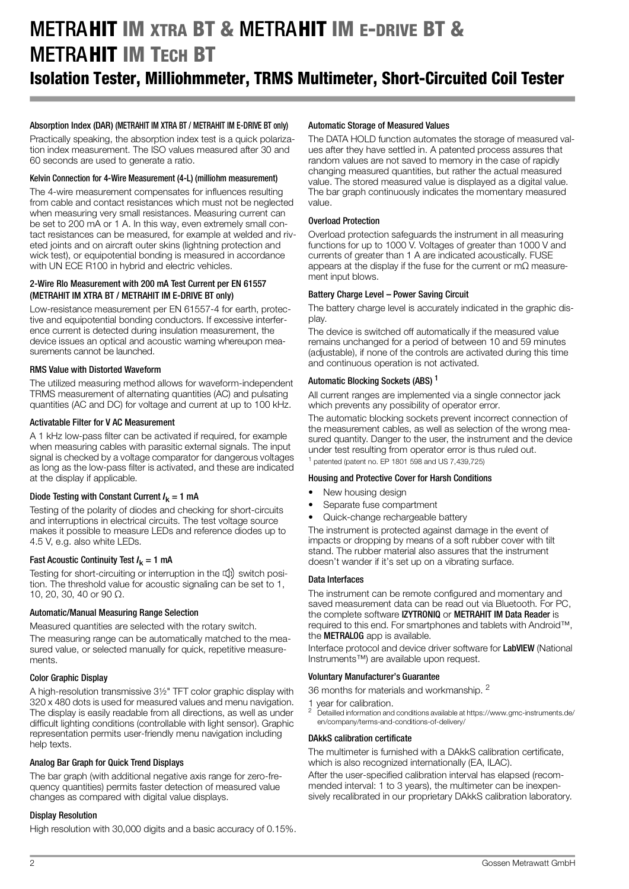## METRAHIT IM XTRA BT & METRAHIT IM E-DRIVE BT & **METRAHIT IM TECH RT** Isolation Tester, Milliohmmeter, TRMS Multimeter, Short-Circuited Coil Tester

### Absorption Index (DAR) (METRAHIT IM XTRA BT / METRAHIT IM E-DRIVE BT only)

Practically speaking, the absorption index test is a quick polarization index measurement. The ISO values measured after 30 and 60 seconds are used to generate a ratio.

### Kelvin Connection for 4-Wire Measurement (4-L) (milliohm measurement)

The 4-wire measurement compensates for influences resulting from cable and contact resistances which must not be neglected when measuring very small resistances. Measuring current can be set to 200 mA or 1 A. In this way, even extremely small contact resistances can be measured, for example at welded and riveted joints and on aircraft outer skins (lightning protection and wick test), or equipotential bonding is measured in accordance with UN ECE R100 in hybrid and electric vehicles.

### 2-Wire Rlo Measurement with 200 mA Test Current per EN 61557 (METRAHIT IM XTRA BT / METRAHIT IM E-DRIVE BT only)

Low-resistance measurement per EN 61557-4 for earth, protective and equipotential bonding conductors. If excessive interference current is detected during insulation measurement, the device issues an optical and acoustic warning whereupon measurements cannot be launched.

### RMS Value with Distorted Waveform

The utilized measuring method allows for waveform-independent TRMS measurement of alternating quantities (AC) and pulsating quantities (AC and DC) for voltage and current at up to 100 kHz.

### Activatable Filter for V AC Measurement

A 1 kHz low-pass filter can be activated if required, for example when measuring cables with parasitic external signals. The input signal is checked by a voltage comparator for dangerous voltages as long as the low-pass filter is activated, and these are indicated at the display if applicable.

### Diode Testing with Constant Current  $I_k = 1$  mA

Testing of the polarity of diodes and checking for short-circuits and interruptions in electrical circuits. The test voltage source makes it possible to measure LEDs and reference diodes up to 4.5 V, e.g. also white LEDs.

### Fast Acoustic Continuity Test  $I_k = 1$  mA

Testing for short-circuiting or interruption in the  $\Pi$ ) switch position. The threshold value for acoustic signaling can be set to 1, 10, 20, 30, 40 or 90 Ω.

### Automatic/Manual Measuring Range Selection

Measured quantities are selected with the rotary switch.

The measuring range can be automatically matched to the measured value, or selected manually for quick, repetitive measurements.

### Color Graphic Display

A high-resolution transmissive 3½" TFT color graphic display with 320 x 480 dots is used for measured values and menu navigation. The display is easily readable from all directions, as well as under difficult lighting conditions (controllable with light sensor). Graphic representation permits user-friendly menu navigation including help texts.

### Analog Bar Graph for Quick Trend Displays

The bar graph (with additional negative axis range for zero-frequency quantities) permits faster detection of measured value changes as compared with digital value displays.

### Display Resolution

High resolution with 30,000 digits and a basic accuracy of 0.15%.

### Automatic Storage of Measured Values

The DATA HOLD function automates the storage of measured values after they have settled in. A patented process assures that random values are not saved to memory in the case of rapidly changing measured quantities, but rather the actual measured value. The stored measured value is displayed as a digital value. The bar graph continuously indicates the momentary measured value.

### Overload Protection

Overload protection safeguards the instrument in all measuring functions for up to 1000 V. Voltages of greater than 1000 V and currents of greater than 1 A are indicated acoustically. FUSE appears at the display if the fuse for the current or mΩ measurement input blows.

### Battery Charge Level – Power Saving Circuit

The battery charge level is accurately indicated in the graphic display.

The device is switched off automatically if the measured value remains unchanged for a period of between 10 and 59 minutes (adjustable), if none of the controls are activated during this time and continuous operation is not activated.

### Automatic Blocking Sockets (ABS)<sup>1</sup>

All current ranges are implemented via a single connector jack which prevents any possibility of operator error.

The automatic blocking sockets prevent incorrect connection of the measurement cables, as well as selection of the wrong measured quantity. Danger to the user, the instrument and the device under test resulting from operator error is thus ruled out.  $1$  patented (patent no. EP 1801 598 and US 7,439,725)

### Housing and Protective Cover for Harsh Conditions

- New housing design
- Separate fuse compartment
- Quick-change rechargeable battery

The instrument is protected against damage in the event of impacts or dropping by means of a soft rubber cover with tilt stand. The rubber material also assures that the instrument doesn't wander if it's set up on a vibrating surface.

#### Data Interfaces

The instrument can be remote configured and momentary and saved measurement data can be read out via Bluetooth. For PC, the complete software IZYTRONIQ or METRAHIT IM Data Reader is required to this end. For smartphones and tablets with Android™, the **METRALOG** app is available.

Interface protocol and device driver software for LabVIEW (National Instruments™) are available upon request.

### Voluntary Manufacturer's Guarantee

36 months for materials and workmanship. <sup>2</sup>

1 year for calibration.

<sup>2</sup> [Detailled information and conditions available at https://www.gmc-instruments.de/](https://www.gmc-instruments.de/en/company/terms-and-conditions-of-delivery/) [en/company/terms-and-conditions-of-delivery/](https://www.gmc-instruments.de/en/company/terms-and-conditions-of-delivery/)

#### DAkkS calibration certificate

The multimeter is furnished with a DAkkS calibration certificate, which is also recognized internationally (EA, ILAC).

After the user-specified calibration interval has elapsed (recommended interval: 1 to 3 years), the multimeter can be inexpensively recalibrated in our proprietary DAkkS calibration laboratory.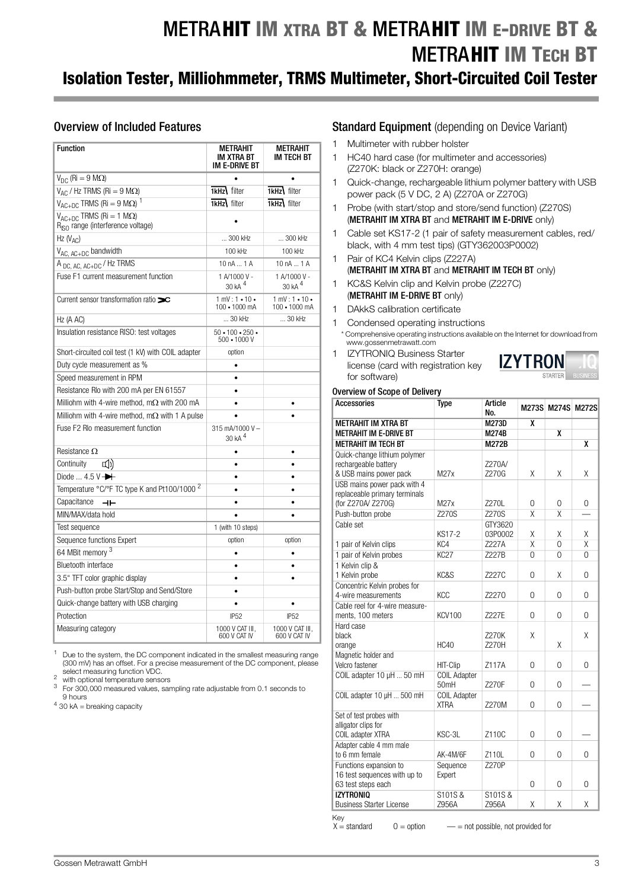# METRAHIT IM XTRA BT & METRAHIT IM E-DRIVE BT & **METRAHIT IM TECH BT**

## Isolation Tester, Milliohmmeter, TRMS Multimeter, Short-Circuited Coil Tester

### Overview of Included Features

| <b>Function</b>                                                                        | METRAHIT<br>IM XTRA BT<br>IM E-DRIVE BT        | <b>METRAHIT</b><br>IM TECH BT      |
|----------------------------------------------------------------------------------------|------------------------------------------------|------------------------------------|
| $V_{DC}$ (Ri = 9 M $\Omega$ )                                                          |                                                |                                    |
| $V_{AC}$ / Hz TRMS (Ri = 9 M $\Omega$ )                                                | <b>1kHz</b> filter                             | 1kHz filter                        |
| $V_{AC+DC}$ TRMS (Ri = 9 M $\Omega$ ) <sup>1</sup>                                     | <b>1kHz</b> filter                             | $I$ kHz $\overline{I}$ filter      |
| $V_{AC+DC}$ TRMS (Ri = 1 M $\Omega$ )<br>R <sub>ISO</sub> range (interference voltage) |                                                |                                    |
| Hz $(V_{AC})$                                                                          | 300 kHz                                        | 300 kHz                            |
| V <sub>AC. AC+DC</sub> bandwidth                                                       | 100 kHz                                        | 100 kHz                            |
| A <sub>DC, AC, AC+DC</sub> / Hz TRMS                                                   | 10 nA  1 A                                     | 10 nA  1 A                         |
| Fuse F1 current measurement function                                                   | 1 A/1000 V -<br>30 kA <sup>4</sup>             | 1 A/1000 V -<br>30 kA <sup>4</sup> |
| Current sensor transformation ratio $\infty$                                           | $1 mV: 1 - 10 -$<br>100 · 1000 mA              | $1 mV: 1 - 10 -$<br>100 · 1000 mA  |
| Hz (A AC)                                                                              | 30 kHz                                         | 30 kHz                             |
| Insulation resistance RISO: test voltages                                              | $50 \cdot 100 \cdot 250 \cdot$<br>500 · 1000 V |                                    |
| Short-circuited coil test (1 kV) with COIL adapter                                     | option                                         |                                    |
| Duty cycle measurement as %                                                            |                                                |                                    |
| Speed measurement in RPM                                                               |                                                |                                    |
| Resistance Rlo with 200 mA per EN 61557                                                | $\bullet$                                      |                                    |
| Milliohm with 4-wire method, m $\Omega$ with 200 mA                                    |                                                |                                    |
| Milliohm with 4-wire method, $m\Omega$ with 1 A pulse                                  |                                                |                                    |
| Fuse F2 RIo measurement function                                                       | 315 mA/1000 V-<br>30 kA <sup>4</sup>           |                                    |
| Resistance $\Omega$                                                                    | $\bullet$                                      | $\bullet$                          |
| <b>디</b> ))<br>Continuity                                                              | $\bullet$                                      | $\bullet$                          |
| Diode $4.5V$                                                                           |                                                |                                    |
| Temperature °C/°F TC type K and Pt100/1000 <sup>2</sup>                                | ٠                                              |                                    |
| Capacitance<br>ᆂ                                                                       |                                                | ۰                                  |
| MIN/MAX/data hold                                                                      |                                                | ٠                                  |
| Test sequence                                                                          | 1 (with 10 steps)                              |                                    |
| Sequence functions Expert                                                              | option                                         | option                             |
| 64 MBit memory <sup>3</sup>                                                            |                                                | $\bullet$                          |
| <b>Bluetooth interface</b>                                                             | $\bullet$                                      | $\bullet$                          |
| 3.5" TFT color graphic display                                                         |                                                |                                    |
| Push-button probe Start/Stop and Send/Store                                            |                                                |                                    |
| Quick-change battery with USB charging                                                 |                                                |                                    |
| Protection                                                                             | IP <sub>52</sub>                               | IP52                               |
| Measuring category                                                                     | 1000 V CAT III,<br>600 V CAT IV                | 1000 V CAT III,<br>600 V CAT IV    |

<sup>1</sup> Due to the system, the DC component indicated in the smallest measuring range (300 mV) has an offset. For a precise measurement of the DC component, please select measuring function VDC.<br>
<sup>2</sup> with optional temperature sensors<br>
<sup>3</sup> For 300,000 measured values, sampling rate adjustable from 0.1 seconds to

9 hours

 $4$  30 kA = breaking capacity

### **Standard Equipment** (depending on Device Variant)

- 1 Multimeter with rubber holster
- 1 HC40 hard case (for multimeter and accessories) (Z270K: black or Z270H: orange)
- 1 Quick-change, rechargeable lithium polymer battery with USB power pack (5 V DC, 2 A) (Z270A or Z270G)
- 1 Probe (with start/stop and store/send function) (Z270S) (METRAHIT IM XTRA BT and METRAHIT IM E-DRIVE only)
- 1 Cable set KS17-2 (1 pair of safety measurement cables, red/ black, with 4 mm test tips) (GTY362003P0002)
- 1 Pair of KC4 Kelvin clips (Z227A) (METRAHIT IM XTRA BT and METRAHIT IM TECH BT only)
- 1 KC&S Kelvin clip and Kelvin probe (Z227C) (METRAHIT IM E-DRIVE BT only)
- 1 DAkkS calibration certificate
- 1 Condensed operating instructions \* Comprehensive operating instructions available on the Internet for download from www.gossenmetrawatt.com
- 1 IZYTRONIQ Business Starter license (card with registration key for software)



### Overview of Scope of Delivery

| Accessories                     | <b>Type</b>                        | Article<br>No.     | M273S                   | <b>M274S</b>            | <b>M272S</b>            |
|---------------------------------|------------------------------------|--------------------|-------------------------|-------------------------|-------------------------|
| <b>METRAHIT IM XTRA BT</b>      |                                    | <b>M273D</b>       | X                       |                         |                         |
| <b>METRAHIT IM E-DRIVE BT</b>   |                                    | <b>M274B</b>       |                         | $\overline{\mathbf{x}}$ |                         |
| <b>METRAHIT IM TECH BT</b>      |                                    | <b>M272B</b>       |                         |                         | X                       |
| Quick-change lithium polymer    |                                    |                    |                         |                         |                         |
| rechargeable battery            |                                    | Z270A/             |                         |                         |                         |
| & USB mains power pack          | M27x                               | Z270G              | χ                       | Χ                       | χ                       |
| USB mains power pack with 4     |                                    |                    |                         |                         |                         |
| replaceable primary terminals   |                                    |                    |                         |                         |                         |
| (for Z270A/ Z270G)              | M27x                               | 7270L              | 0                       | 0                       | 0                       |
| Push-button probe               | Z270S                              | Z270S              | X                       | $\overline{X}$          |                         |
| Cable set                       | <b>KS17-2</b>                      | GTY3620<br>03P0002 | X                       | X                       | χ                       |
| 1 pair of Kelvin clips          | KC <sub>4</sub>                    | <b>Z227A</b>       | $\overline{\mathsf{x}}$ | $\overline{0}$          | $\overline{\mathsf{x}}$ |
| 1 pair of Kelvin probes         | <b>KC27</b>                        | Z227B              | 0                       | 0                       | $\Omega$                |
| 1 Kelvin clip &                 |                                    |                    |                         |                         |                         |
| 1 Kelvin probe                  | KC&S                               | Z227C              | $\Omega$                | χ                       | $\Omega$                |
| Concentric Kelvin probes for    |                                    |                    |                         |                         |                         |
| 4-wire measurements             | KCC                                | Z2270              | 0                       | 0                       | $\Omega$                |
| Cable reel for 4-wire measure-  |                                    |                    |                         |                         |                         |
| ments, 100 meters               | <b>KCV100</b>                      | 7227E              | 0                       | 0                       | $\Omega$                |
| Hard case                       |                                    |                    |                         |                         |                         |
| black                           |                                    | 7270K              | χ                       |                         | X                       |
| orange                          | <b>HC40</b>                        | Z270H              |                         | X                       |                         |
| Magnetic holder and             |                                    |                    |                         |                         |                         |
| Velcro fastener                 | HIT-Clip                           | Z117A              | $\Omega$                | 0                       | $\Omega$                |
| COIL adapter 10 µH  50 mH       | <b>COIL Adapter</b><br>50mH        | Z270F              | 0                       | 0                       |                         |
| COIL adapter 10 µH  500 mH      | <b>COIL Adapter</b><br><b>XTRA</b> | Z270M              | 0                       | 0                       |                         |
| Set of test probes with         |                                    |                    |                         |                         |                         |
| alligator clips for             |                                    |                    |                         |                         |                         |
| COIL adapter XTRA               | KSC-3L                             | Z110C              | $\overline{0}$          | 0                       |                         |
| Adapter cable 4 mm male         |                                    |                    |                         |                         |                         |
| to 6 mm female                  | AK-4M/6F                           | Z110L              | $\Omega$                | 0                       | $\Omega$                |
| Functions expansion to          | Sequence                           | Z270P              |                         |                         |                         |
| 16 test sequences with up to    | Expert                             |                    |                         |                         |                         |
| 63 test steps each              |                                    |                    | 0                       | 0                       | 0                       |
| <b>IZYTRONIO</b>                | S101S&                             | S101S&             |                         |                         |                         |
| <b>Business Starter License</b> | Z956A                              | Z956A              | χ                       | X                       | Χ                       |

Key<br> $X =$ standard

 $0 =$  option  $\qquad -$  = not possible, not provided for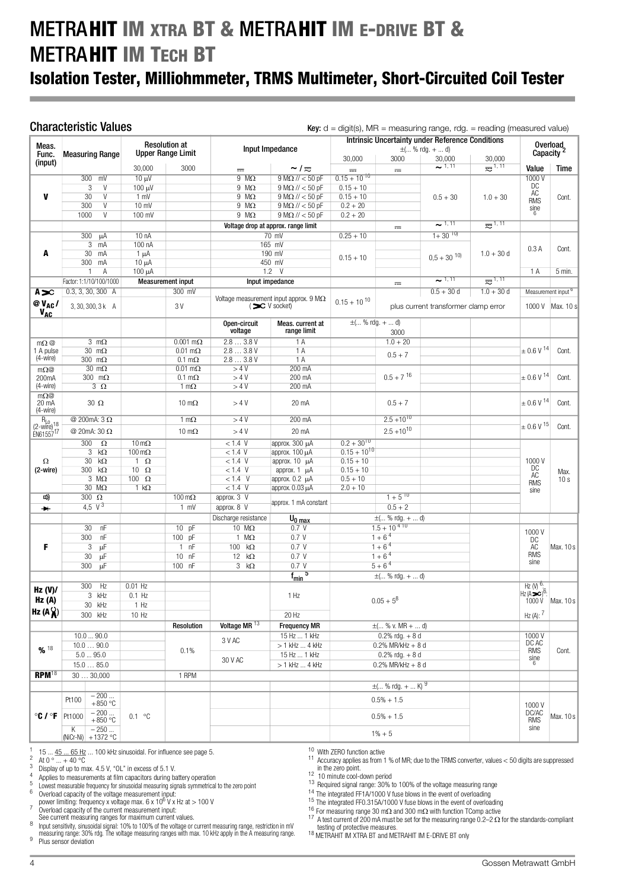## METRAHIT IM XTRA BT & METRAHIT IM E-DRIVE BT & **METRAHIT IM TECH BT**

## Isolation Tester, Milliohmmeter, TRMS Multimeter, Short-Circuited Coil Tester

**Characteristic Values**  $Key: d = digit(s)$ ,  $MR = measuring range$ ,  $rds = reading$  (measured value)

|                                                                    |                                   |                           | <b>Resolution at</b>     |                          | <b>Intrinsic Uncertainty under Reference Conditions</b> |                      |                          |                                      |                                |                                 |                                |  |  | Overload |
|--------------------------------------------------------------------|-----------------------------------|---------------------------|--------------------------|--------------------------|---------------------------------------------------------|----------------------|--------------------------|--------------------------------------|--------------------------------|---------------------------------|--------------------------------|--|--|----------|
| Meas.<br>Func.                                                     | <b>Measuring Range</b>            |                           | <b>Upper Range Limit</b> |                          | Input Impedance                                         |                      |                          | $\pm$ ( % rdg. +  d)                 |                                |                                 | Capacity <sup>2</sup>          |  |  |          |
| (input)                                                            |                                   |                           |                          |                          |                                                         | 30,000               | 3000                     | 30,000                               | 30,000                         |                                 |                                |  |  |          |
|                                                                    |                                   | 30,000                    | 3000                     | $\frac{1}{2}$            | $\sim$ / $\approx$                                      | $=$                  | $\frac{1}{2}$            | 21,11                                | $\overline{\mathbf{z}}^{1,11}$ | Value                           | Time                           |  |  |          |
|                                                                    | 300 mV                            | $10 \mu V$                |                          | $9 M\Omega$              | $9 M\Omega$ // < 50 pF                                  | $0.15 + 10^{10}$     |                          |                                      |                                | 1000V                           |                                |  |  |          |
|                                                                    | 3<br>V                            | 100 µV                    |                          | $9 M\Omega$              | $9 M\Omega$ // < 50 pF                                  | $0.15 + 10$          |                          |                                      |                                | DC<br>ĀČ                        |                                |  |  |          |
| V                                                                  | 30<br>$\overline{V}$              | 1 mV                      |                          | $9 M\Omega$              | $9 M\Omega$ // < 50 pF                                  | $0.15 + 10$          |                          | $0.5 + 30$                           | $1.0 + 30$                     | <b>RMS</b>                      | Cont.                          |  |  |          |
|                                                                    | 300<br>V                          | $10 \text{ mV}$           |                          | $9 M\Omega$              | $9 M\Omega$ // < 50 pF                                  | $0.2 + 20$           |                          |                                      |                                | sine                            |                                |  |  |          |
|                                                                    | 1000<br>V                         | 100 mV                    |                          | $9 \text{ M}\Omega$      | $9 M\Omega$ // < 50 pF                                  | $0.2 + 20$           |                          |                                      |                                |                                 |                                |  |  |          |
|                                                                    |                                   |                           |                          |                          | Voltage drop at approx. range limit                     |                      | $\overline{\phantom{a}}$ | $\sim$ 1, 11                         | $\overline{z}^{1,11}$          |                                 |                                |  |  |          |
|                                                                    | 300<br>μA                         | 10nA                      |                          |                          | $70$ mV                                                 | $0.25 + 10$          |                          | $1 + 30^{10}$                        |                                |                                 |                                |  |  |          |
|                                                                    | 3<br>mA                           | 100 nA                    |                          |                          | 165 mV                                                  |                      |                          |                                      |                                | 0.3A                            | Cont.                          |  |  |          |
| A                                                                  | 30<br>mA                          | $1 \mu A$                 |                          |                          | 190 mV                                                  | $0.15 + 10$          |                          | $0,5 + 30^{10}$                      | $1.0 + 30 d$                   |                                 |                                |  |  |          |
|                                                                    | 300 mA<br>Α<br>$\mathbf{1}$       | $10 \mu A$<br>$100 \mu A$ |                          |                          | 450 mV<br>$1.2 \quad V$                                 |                      |                          |                                      |                                |                                 | 5 min.                         |  |  |          |
|                                                                    | Factor: 1:1/10/100/1000           |                           | <b>Measurement input</b> |                          |                                                         |                      |                          | $\sim$ 1, 11                         | $\overline{z}^{1,11}$          | 1 A                             |                                |  |  |          |
|                                                                    |                                   |                           | 300 mV                   |                          | Input impedance                                         |                      | $\frac{1}{2}$            | $0.5 + 30d$                          | $1.0 + 30d$                    |                                 |                                |  |  |          |
| $A \infty$                                                         | $0.3, 3, 30, 300$ A               |                           |                          |                          | Voltage measurement input approx. $9 M\Omega$           |                      |                          |                                      |                                |                                 | Measurement input <sup>6</sup> |  |  |          |
| $@V_{AC}/$<br><b>VAC</b>                                           | 3, 30, 300, 3 k A                 |                           | 3 V                      |                          | $($ $\infty$ V socket)                                  | $0.15 + 10^{10}$     |                          | plus current transformer clamp error |                                | 1000V                           | Max. 10 s                      |  |  |          |
|                                                                    |                                   |                           |                          | Open-circuit             | Meas. current at                                        | $\pm$ ( % rdg. +  d) |                          |                                      |                                |                                 |                                |  |  |          |
|                                                                    |                                   |                           |                          | voltage                  | range limit                                             |                      | 3000                     |                                      |                                |                                 |                                |  |  |          |
| $m\Omega$ @                                                        | $3 \text{ m}\Omega$               |                           | $0.001$ m $\Omega$       | 2.83.8V                  | 1A                                                      |                      | $1.0 + 20$               |                                      |                                |                                 |                                |  |  |          |
| 1 A pulse                                                          | $30 \text{ m}\Omega$              |                           | $0.01$ m $\Omega$        | 2.83.8V                  | 1A                                                      |                      | $0.5 + 7$                |                                      |                                | $\pm 0.6$ V <sup>14</sup>       | Cont.                          |  |  |          |
| $(4-wire)$                                                         | 300 $m\Omega$                     |                           | $0.1 \text{ m}\Omega$    | 2.83.8V                  | 1A                                                      |                      |                          |                                      |                                |                                 |                                |  |  |          |
| $m\Omega$ @                                                        | $30 \text{ m}\Omega$              |                           | $0.01 \text{ m}\Omega$   | >4V                      | 200 mA                                                  |                      |                          |                                      |                                |                                 |                                |  |  |          |
| 200mA<br>(4-wire)                                                  | 300 $m\Omega$                     |                           | $0.1 \text{ m}\Omega$    | >4V                      | 200 mA                                                  |                      | $0.5 + 7^{16}$           |                                      |                                | $\pm 0.6$ V <sup>14</sup>       | Cont.                          |  |  |          |
| $m\Omega$                                                          | $3\Omega$                         |                           | 1 m $\Omega$             | >4V                      | 200 mA                                                  |                      |                          |                                      |                                |                                 |                                |  |  |          |
| 20 mA<br>(4-wire)                                                  | $30\Omega$                        |                           | 10 m $\Omega$            | >4V                      | 20 mA                                                   |                      | $0.5 + 7$                |                                      |                                | $\pm 0.6$ V $^{14}$             | Cont.                          |  |  |          |
|                                                                    | @ 200mA: $3 \Omega$               |                           | $1 \text{ m}\Omega$      | >4V                      | 200 mA                                                  |                      | $2.5 + 10^{10}$          |                                      |                                |                                 |                                |  |  |          |
| $R_{\text{Lo}}$<br>(2-wire) <sup>18</sup><br>EN61557 <sup>17</sup> | @ 20mA: 30 Ω                      |                           | 10 m $\Omega$            | >4V                      | 20 mA                                                   |                      | $2.5 + 10^{10}$          |                                      |                                | $\pm 0.6$ V $^{15}$             | Cont.                          |  |  |          |
|                                                                    | 300<br>$\Omega$                   | $10 \,\mathrm{m}\Omega$   |                          | < 1.4 V                  | approx. 300 µA                                          | $0.2 + 30^{10}$      |                          |                                      |                                |                                 |                                |  |  |          |
|                                                                    | $\overline{3}$<br>kΩ              | $100 \,\mathrm{m}\Omega$  |                          | < 1.4 V                  | approx. 100 µA                                          | $0.15 + 10^{10}$     |                          |                                      |                                |                                 |                                |  |  |          |
| Ω                                                                  | 30<br>$k\Omega$                   | $1 \Omega$                |                          | < 1.4 V                  | approx. $10 \mu A$                                      | $0.15 + 10$          |                          |                                      |                                | 1000V                           |                                |  |  |          |
| $(2-wire)$                                                         | 300<br>$k\Omega$                  | $10 \Omega$               |                          | < 1.4 V                  | approx. 1 µA                                            | $0.15 + 10$          |                          |                                      |                                | DC                              | Max.                           |  |  |          |
|                                                                    | $3 M\Omega$                       | 100 $\Omega$              |                          | $< 1.4$ V                | approx. 0.2 µA                                          | $0.5 + 10$           |                          |                                      |                                | AC<br><b>RMS</b>                | 10 <sub>s</sub>                |  |  |          |
|                                                                    | $30 \text{ M}\Omega$              | $1 k\Omega$               |                          | < 1.4 V                  | арргох. 0.03 µА                                         | $2.0 + 10$           |                          |                                      |                                | sine                            |                                |  |  |          |
| [ 1 1 )                                                            | 300 $\Omega$                      |                           | $100 \,\mathrm{m}\Omega$ | approx. 3 V              | approx. 1 mA constant                                   |                      | $1 + 5^{10}$             |                                      |                                |                                 |                                |  |  |          |
| $\blacksquare$                                                     | 4,5 $V^3$                         |                           | $1$ mV                   | approx. 8 V              |                                                         |                      | $0.5 + 2$                |                                      |                                |                                 |                                |  |  |          |
|                                                                    |                                   |                           |                          | Discharge resistance     | $U_0$ max                                               |                      | $\pm$ ( % rdg. +  d)     |                                      |                                |                                 |                                |  |  |          |
|                                                                    | 30<br>nF                          |                           | 10 pF                    | $10 M\Omega$             | 0.7V                                                    |                      | $1.5 + 10410$            |                                      |                                | 1000V                           |                                |  |  |          |
|                                                                    | 300<br>nF                         |                           | 100 pF                   | 1 $M\Omega$              | 0.7V                                                    |                      | $1+6^{4}$                |                                      |                                | DC                              |                                |  |  |          |
| F                                                                  | 3<br>μF                           |                           | 1 nF                     | 100 $k\Omega$            | 0.7V                                                    |                      | $1 + 64$                 |                                      |                                | AC                              | Max. $10 s$                    |  |  |          |
|                                                                    | 30<br>μF                          |                           | 10 nF                    | 12 $k\Omega$             | 0.7V                                                    |                      | $1+6^{4}$                |                                      |                                | <b>RMS</b><br>sine              |                                |  |  |          |
|                                                                    | 300<br>μF                         |                           | $100$ nF                 | $3 k\Omega$              | 0.7V                                                    |                      | $5+6^{4}$                |                                      |                                |                                 |                                |  |  |          |
|                                                                    |                                   |                           |                          |                          | $f_{min}$ <sup>5</sup>                                  |                      | $\pm$ ( % rdg. +  d)     |                                      |                                |                                 |                                |  |  |          |
| Hz (V)                                                             | Hz<br>300                         | $0.01$ Hz                 |                          |                          |                                                         |                      |                          |                                      |                                | Hz (V) $\frac{6}{1}$            |                                |  |  |          |
| Hz(A)                                                              | 3 kHz                             | $0.1$ Hz                  |                          |                          | 1 Hz                                                    |                      | $0.05 + 5^8$             |                                      |                                | $Hz(\overline{A} \searrow c)^6$ | 1000 V   Max. 10 s             |  |  |          |
|                                                                    | 30 kHz                            | 1 Hz                      |                          |                          |                                                         |                      |                          |                                      |                                |                                 |                                |  |  |          |
| Hz $(A \n\chi)$                                                    | 300 kHz                           | 10 Hz                     |                          |                          | 20 Hz                                                   |                      |                          |                                      |                                | $Hz (A):$ $7$                   |                                |  |  |          |
|                                                                    |                                   |                           | Resolution               | Voltage MR <sup>13</sup> | <b>Frequency MR</b>                                     |                      | $\pm$ ( % v. MR +  d)    |                                      |                                |                                 |                                |  |  |          |
|                                                                    | 10.090.0                          |                           |                          | 3 V AC                   | 15 Hz  1 kHz                                            |                      | $0.2\%$ rdg. + 8 d       |                                      |                                | 1000V                           |                                |  |  |          |
| % 18                                                               | 10.090.0                          |                           | 0.1%                     |                          | $> 1$ kHz $$ 4 kHz                                      |                      | $0.2\%$ MR/kHz + 8 d     |                                      |                                | DC AC<br><b>RMS</b>             | Cont.                          |  |  |          |
|                                                                    | 5.095.0                           |                           |                          | 30 V AC                  | 15 Hz  1 kHz                                            | $0.2\%$ rdg. $+8d$   |                          |                                      | sine                           |                                 |                                |  |  |          |
|                                                                    | 15.085.0                          |                           |                          |                          | > 1 kHz  4 kHz                                          | $0.2\%$ MR/kHz + 8 d |                          |                                      |                                |                                 |                                |  |  |          |
| $RPM^{18}$                                                         | 3030,000                          |                           | 1 RPM                    |                          |                                                         |                      |                          |                                      |                                |                                 |                                |  |  |          |
|                                                                    |                                   |                           |                          |                          |                                                         |                      | $\pm$ ( % rdg. +  K) $9$ |                                      |                                |                                 |                                |  |  |          |
|                                                                    | $-200$<br>Pt100<br>$+850 °C$      |                           |                          |                          |                                                         |                      | $0.5% + 1.5$             |                                      |                                | 1000V                           |                                |  |  |          |
| $^{\circ}$ C / $^{\circ}$ F                                        | $-200$<br>+850 °C<br>Pt1000       | 0.1 °C                    |                          |                          |                                                         |                      | $0.5% + 1.5$             |                                      |                                | DC/AC<br>RMS                    | Max. $10 s$                    |  |  |          |
|                                                                    | $-250$<br>K<br>(NiCr-Ni) +1372 °C |                           |                          |                          |                                                         |                      | $1\% + 5$                |                                      |                                | sine                            |                                |  |  |          |

1 15 ...  $45 \tldots 65$  Hz ... 100 kHz sinusoidal. For influence see page 5.<br>
2 At 0 ° ... + 40 °C<br>
3 Display of up to max. 4.5 V, "OL" in excess of 5.1 V.<br>
4 Applies to measurements at film capacitors during battery operati

power limiting: frequency x voltage max.  $6 \times 10^6$  V x Hz at  $> 100$  V<br>
7 Overload canacity of the current measurement input:

 $\frac{1}{\sqrt{2}}$  Overload capacity of the current measurement input:<br>See current measuring ranges for maximum current values.

See current measuring ranges for maximum current values.<br><sup>8</sup> Input sensitivity, sinusoidal signal: 10% to 100% of the voltage or current measuring range, restriction in mV

measuring range: 30% rdg. The voltage measuring ranges with max. 10 kHz apply in the A measuring range.<br><sup>9</sup> Plus sensor deviation

<sup>10</sup> With ZERO function active<br><sup>11</sup> Accuracy applies as from 1 % of MR; due to the TRMS converter, values  $<$  50 digits are suppressed<br>in the zero point.

<sup>12</sup> 10 minute cool-down period<br><sup>13</sup> Required signal range: 30% to 100% of the voltage measuring range<br><sup>14</sup> The integrated FF1A/1000 V fuse blows in the event of overloading

<sup>15</sup> The integrated 11 To 1050 Y tuse blows in the event of occidents<br>
<sup>15</sup> The integrated FF0.315A/1000 V fuse blows in the event of overloading<br>
<sup>16</sup> For measuring range 30 mΩ and 300 mΩ with function TComp active<br>
<sup>17</sup>

18 METRAHIT IM XTRA BT and METRAHIT IM E-DRIVE BT only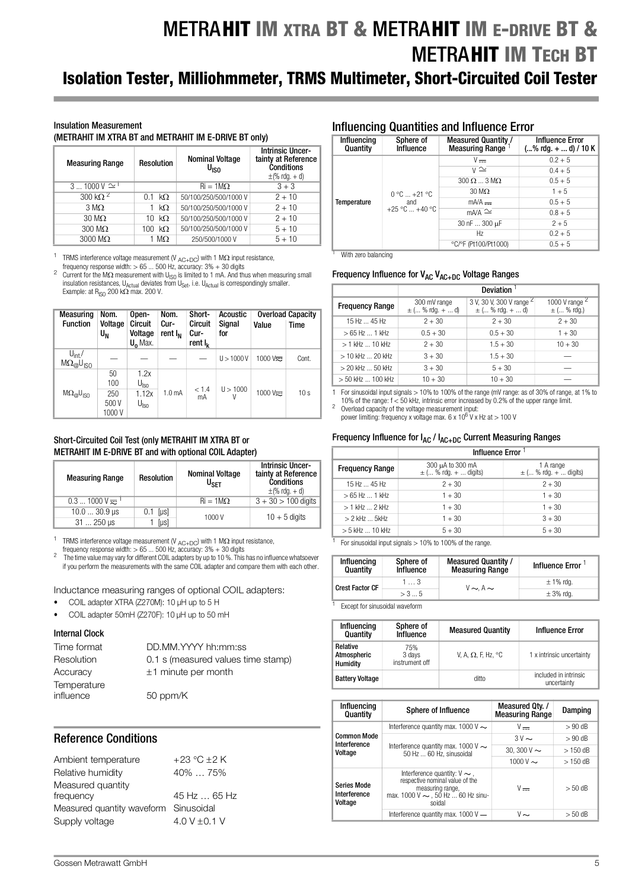## METRAHIT IM XTRA BT & METRAHIT IM E-DRIVE BT & **METRAHIT IM TECH BT** Isolation Tester, Milliohmmeter, TRMS Multimeter, Short-Circuited Coil Tester

#### Insulation Measurement

(METRAHIT IM XTRA BT and METRAHIT IM E-DRIVE BT only)

| <b>Measuring Range</b> | <b>Resolution</b> | <b>Nominal Voltage</b><br>U <sub>ISO</sub> | <b>Intrinsic Uncer-</b><br>tainty at Reference<br><b>Conditions</b><br>$\pm$ (% rdg. + d) |
|------------------------|-------------------|--------------------------------------------|-------------------------------------------------------------------------------------------|
| $31000V \approx$       |                   | $\text{Ri} = 1 \text{M}\Omega$             | $3 + 3$                                                                                   |
| 300 k $\Omega^2$       | $k\Omega$<br>0.1  | 50/100/250/500/1000 V                      | $2 + 10$                                                                                  |
| $3 \text{ M}\Omega$    | $k\Omega$         | 50/100/250/500/1000 V                      | $2 + 10$                                                                                  |
| $30 \text{ M}\Omega$   | $k\Omega$<br>10   | 50/100/250/500/1000 V                      | $2 + 10$                                                                                  |
| $300 \text{ M}\Omega$  | $k\Omega$<br>100  | 50/100/250/500/1000 V                      | $5 + 10$                                                                                  |
| $3000 \text{ M}\Omega$ | 1 M $\Omega$      | 250/500/1000 V                             | $5 + 10$                                                                                  |

<sup>1</sup> TRMS interference voltage measurement (V  $_{AC+DC}$ ) with 1 M $\Omega$  input resistance,<br>
frequency response width: > 65 ... 500 Hz, accuracy: 3% + 30 digits

Current for the M $\Omega$  measurement with U<sub>ISO</sub> is limited to 1 mA. And thus when measuring small insulation resistances, U<sub>Actual</sub> deviates from U<sub>Set</sub>, i.e. U<sub>Actual</sub> is correspondingly smaller.<br>Example: at R<sub>ISO</sub> 200 kΩ max. 200 V.

| <b>Measuring</b><br><b>Function</b>                   | Nom.<br>Voltage<br>U <sub>N</sub> | Open-<br>Circuit<br>Voltage<br>$U_0$ Max. | Nom.<br>Cur-<br>rent $I_N$ | Short-<br>Circuit<br>Cur-<br>rent $I_k$ | Acoustic<br>Signal<br>for | Value                                            | <b>Overload Capacity</b><br><b>Time</b> |
|-------------------------------------------------------|-----------------------------------|-------------------------------------------|----------------------------|-----------------------------------------|---------------------------|--------------------------------------------------|-----------------------------------------|
| $U_{int}$<br>$M\Omega_{\varpi}^{\dots}U_{\text{ISO}}$ |                                   |                                           |                            |                                         | U > 1000 V                | $1000 \text{ V}$ <sub><math>\approx</math></sub> | Cont.                                   |
|                                                       | 50<br>100                         | 1.2x<br>$U_{\mathsf{Iso}}$                |                            | < 1.4                                   | U > 1000                  |                                                  |                                         |
| $M\Omega_{\odot}U_{\rm ISO}$                          | 250<br>500 V<br>1000V             | 1.12x<br>U <sub>lso</sub>                 | 1.0 <sub>m</sub> A         | mA                                      | V                         | $1000V\approx$                                   | 10s                                     |

#### Short-Circuited Coil Test (only METRAHIT IM XTRA BT or METRAHIT IM E-DRIVE BT and with optional COIL Adapter)

| <b>Measuring Range</b> | <b>Resolution</b> | <b>Nominal Voltage</b><br>U <sub>SFT</sub> | <b>Intrinsic Uncer-</b><br>tainty at Reference<br><b>Conditions</b><br>$\pm$ (% rdq. + d) |
|------------------------|-------------------|--------------------------------------------|-------------------------------------------------------------------------------------------|
| $0.31000V =$           |                   | $\text{Ri} = 1 \text{M}\Omega$             | $3 + 30 > 100$ digits                                                                     |
| $10.030.9$ µs          | $0.1$ [ $\mu$ s]  | 1000V                                      | $10 + 5$ digits                                                                           |
| $31250 \,\mu s$        | [µs]              |                                            |                                                                                           |

TRMS interference voltage measurement (V  $_{AC+DC}$ ) with 1 M $\Omega$  input resistance, frequency response width: > 65 ... 500 Hz, accuracy: 3% + 30 digits

frequency response width: > 65 ... 500 Hz, accuracy: 3% + 30 digits 2 The time value may vary for different COIL adapters by up to 10 %. This has no influence whatsoever if you perform the measurements with the same COIL adapter and compare them with each other.

Inductance measuring ranges of optional COIL adapters:

- COIL adapter XTRA (Z270M): 10 µH up to 5 H
- COIL adapter 50mH (Z270F): 10 µH up to 50 mH

#### Internal Clock

| Time format | DD.MM.YYYY hh:mm:ss                |
|-------------|------------------------------------|
| Resolution  | 0.1 s (measured values time stamp) |
| Accuracy    | $±1$ minute per month              |
| Temperature |                                    |
| influence   | 50 ppm/K                           |

### Reference Conditions

| $+23$ °C $\pm 2$ K                    |
|---------------------------------------|
| 40%  75%                              |
|                                       |
| 45 Hz  65 Hz                          |
| Measured quantity waveform Sinusoidal |
| 4.0 V $\pm$ 0.1 V                     |
|                                       |

### Influencing Quantities and Influence Error

| Influencing<br>Quantity | Sphere of<br><b>Influence</b>              | Measured Quantity /<br><b>Measuring Range</b> | <b>Influence Error</b><br>$(\%$ rdg. +  d) / 10 K |
|-------------------------|--------------------------------------------|-----------------------------------------------|---------------------------------------------------|
|                         |                                            | $V =$                                         | $0.2 + 5$                                         |
|                         |                                            | $\overline{v} \simeq$                         | $0.4 + 5$                                         |
| Temperature             | $0 °C  +21 °C$<br>and<br>$+25$ °C $+40$ °C | $300 \Omega$ $3 \text{ M}\Omega$              | $0.5 + 5$                                         |
|                         |                                            | $30 \text{ M}\Omega$                          | $1 + 5$                                           |
|                         |                                            | $mA/A =$                                      | $0.5 + 5$                                         |
|                         |                                            | $mA/A \simeq$                                 | $0.8 + 5$                                         |
|                         |                                            | 30 nF  300 µF                                 | $2 + 5$                                           |
|                         |                                            | Hz.                                           | $0.2 + 5$                                         |
|                         |                                            | °C/°F (Pt100/Pt1000)                          | $0.5 + 5$                                         |

**With zero balancing** 

#### Frequency Influence for  $V_{AC}$ ,  $V_{AC+DC}$  Voltage Ranges

|                            | <b>Deviation</b>                     |                                                             |                                     |  |
|----------------------------|--------------------------------------|-------------------------------------------------------------|-------------------------------------|--|
| <b>Frequency Range</b>     | 300 mV range<br>$\pm$ ( % rdg. +  d) | 3 V, 30 V, 300 V range <sup>2</sup><br>$\pm$ ( % rdg. +  d) | 1000 V range $2$<br>$\pm$ ( % rdg.) |  |
| $15 Hz$ $45 Hz$            | $2 + 30$                             | $2 + 30$                                                    | $2 + 30$                            |  |
| $>65$ Hz  1 kHz            | $0.5 + 30$                           | $0.5 + 30$                                                  | $1 + 30$                            |  |
| $> 1$ kHz $\dots$ 10 kHz   | $2 + 30$                             | $1.5 + 30$                                                  | $10 + 30$                           |  |
| $>$ 10 kHz $\ldots$ 20 kHz | $3 + 30$                             | $1.5 + 30$                                                  |                                     |  |
| $>$ 20 kHz $\ldots$ 50 kHz | $3 + 30$                             | $5 + 30$                                                    |                                     |  |
| > 50 kHz  100 kHz          | $10 + 30$                            | $10 + 30$                                                   |                                     |  |

1 For sinusoidal input signals > 10% to 100% of the range (mV range: as of 30% of range, at 1% to

10% of the range: f < 50 kHz, intrinsic error increased by 0.2% of the upper range limit.<br><sup>2</sup> Overload capacity of the voltage measurement input:

power limiting: frequency x voltage max.  $6 \times 10^6$  V x Hz at  $> 100$  V

### Frequency Influence for  $I_{AC}$  /  $I_{AC+DC}$  Current Measuring Ranges

|                         | Influence Error <sup>1</sup>                  |                                        |  |  |  |
|-------------------------|-----------------------------------------------|----------------------------------------|--|--|--|
| <b>Frequency Range</b>  | 300 µA to 300 mA<br>$\pm$ ( % rdg. +  digits) | 1 A range<br>$\pm$ ( % rdg. +  digits) |  |  |  |
| $15 Hz$ $45 Hz$         | $2 + 30$                                      | $2 + 30$                               |  |  |  |
| $>65$ Hz $$ 1 kHz       | $1 + 30$                                      | $1 + 30$                               |  |  |  |
| $>1$ kHz $$ 2 kHz       | $1 + 30$                                      | $1 + 30$                               |  |  |  |
| $>$ 2 kHz $\ldots$ 5kHz | $1 + 30$                                      | $3 + 30$                               |  |  |  |
| $> 5$ kHz  10 kHz       | $5 + 30$                                      | $5 + 30$                               |  |  |  |

 $\frac{1}{1}$  For sinusoidal input signals  $> 10\%$  to 100% of the range

| Influencing<br>Quantity      | Sphere of<br>Influence | <b>Measured Quantity /</b><br><b>Measuring Range</b> | <b>Influence Error</b> |
|------------------------------|------------------------|------------------------------------------------------|------------------------|
| 13<br><b>Crest Factor CF</b> |                        | $V \sim A \sim$                                      | $\pm$ 1% rdg.          |
|                              | > 35                   |                                                      | $\pm$ 3% rdg.          |
|                              |                        |                                                      |                        |

<sup>1</sup> Except for sinusoidal waveform

| Influencing<br>Quantity                    | Sphere of<br><b>Influence</b>   | <b>Measured Quantity</b>   | <b>Influence Error</b>               |
|--------------------------------------------|---------------------------------|----------------------------|--------------------------------------|
| Relative<br>Atmospheric<br><b>Humidity</b> | 75%<br>3 days<br>instrument off | V, A, $\Omega$ , F, Hz, °C | 1 x intrinsic uncertainty            |
| <b>Battery Voltage</b>                     |                                 | ditto                      | included in intrinsic<br>uncertainty |

| Influencing<br>Quantity                       | Sphere of Influence                                                                                                                           | Measured Qty. /<br><b>Measuring Range</b> | Damping   |
|-----------------------------------------------|-----------------------------------------------------------------------------------------------------------------------------------------------|-------------------------------------------|-----------|
|                                               | Interference quantity max. 1000 V $\sim$                                                                                                      | $V -$                                     | $>90$ dB  |
| <b>Common Mode</b><br>Interference            |                                                                                                                                               | $3V \sim$                                 | $> 90$ dB |
| Voltage                                       | Interference quantity max. 1000 V $\sim$<br>50 Hz  60 Hz. sinusoidal                                                                          | 30.300 V $\sim$                           | $>150$ dB |
|                                               |                                                                                                                                               | 1000 V $\sim$                             | $>150$ dB |
| <b>Series Mode</b><br>Interference<br>Voltage | Interference quantity: $V \sim$ ,<br>respective nominal value of the<br>measuring range,<br>max. 1000 V $\sim$ , 50 Hz  60 Hz sinu-<br>soidal | $V =$                                     | $> 50$ dB |
|                                               | Interference quantity max. $1000V -$                                                                                                          | $V \sim$                                  | $> 50$ dB |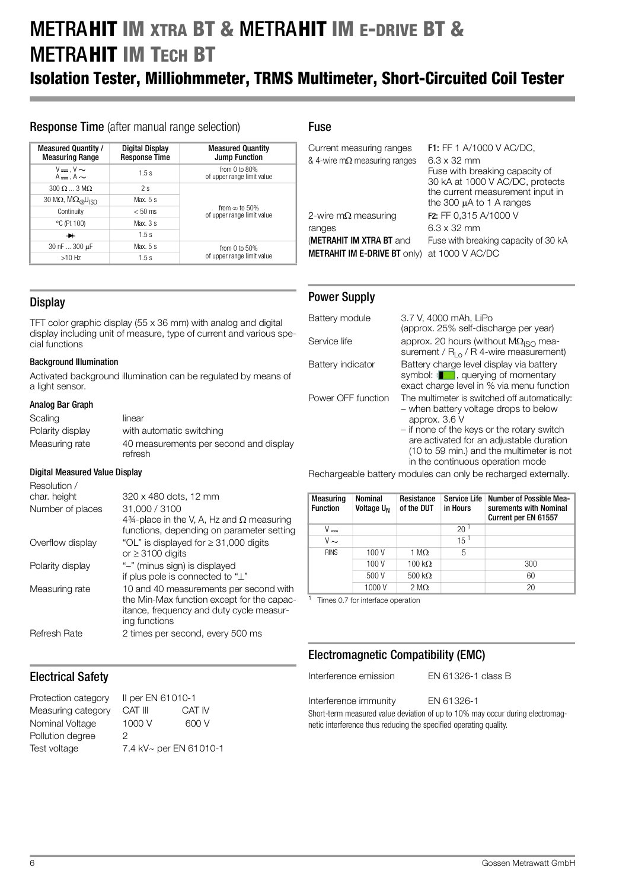## METRAHIT IM XTRA BT & METRAHIT IM E-DRIVE BT & **METRAHIT IM TECH BT**

## Isolation Tester, Milliohmmeter, TRMS Multimeter, Short-Circuited Coil Tester

### Response Time (after manual range selection)

| Measured Quantity /<br><b>Measuring Range</b>      | Digital Display<br><b>Response Time</b> | <b>Measured Quantity</b><br><b>Jump Function</b>   |  |
|----------------------------------------------------|-----------------------------------------|----------------------------------------------------|--|
| $V = V \sim$<br>$A = A \sim$                       | 1.5s                                    | from $0$ to $80\%$<br>of upper range limit value   |  |
| $300 \Omega$ $\ldots$ 3 M $\Omega$                 | 2s                                      |                                                    |  |
| 30 M $\Omega$ , $M\Omega_{\text{@}}U_{\text{ISO}}$ | Max, $5s$                               |                                                    |  |
| Continuity                                         | $< 50$ ms                               | from $\infty$ to 50%<br>of upper range limit value |  |
| $°C$ (Pt 100)                                      | Max. $3s$                               |                                                    |  |
| ≁                                                  | 1.5s                                    |                                                    |  |
| 30 nF  300 µF                                      | Max, $5s$                               | from $0$ to $50\%$                                 |  |
| $>10$ Hz                                           | 1.5s                                    | of upper range limit value                         |  |

### Fuse

| Current measuring ranges<br>& 4-wire m $\Omega$ measuring ranges       | <b>F1:</b> FF 1 A/1000 V AC/DC,<br>$6.3 \times 32$ mm<br>Fuse with breaking capacity of<br>30 kA at 1000 V AC/DC, protects<br>the current measurement input in<br>the 300 $\mu$ A to 1 A ranges |
|------------------------------------------------------------------------|-------------------------------------------------------------------------------------------------------------------------------------------------------------------------------------------------|
| 2-wire m $\Omega$ measuring                                            | F2: FF 0,315 A/1000 V                                                                                                                                                                           |
| ranges                                                                 | $6.3 \times 32$ mm                                                                                                                                                                              |
| <b>(METRAHIT IM XTRA BT and</b><br><b>METRAHIT IM E-DRIVE BT ONly)</b> | Fuse with breaking capacity of 30 kA<br>at 1000 V AC/DC                                                                                                                                         |

### Power Supply

| Battery module     | 3.7 V, 4000 mAh, LiPo<br>(approx. 25% self-discharge per year)                                                                                                                                                                                                                     |
|--------------------|------------------------------------------------------------------------------------------------------------------------------------------------------------------------------------------------------------------------------------------------------------------------------------|
| Service life       | approx. 20 hours (without $\mathsf{M}\Omega_{\mathsf{ISO}}$ mea-<br>surement / $R_{L0}$ / R 4-wire measurement)                                                                                                                                                                    |
| Battery indicator  | Battery charge level display via battery<br>symbol: [13], querying of momentary<br>exact charge level in % via menu function                                                                                                                                                       |
| Power OFF function | The multimeter is switched off automatically:<br>- when battery voltage drops to below<br>approx. 3.6 V<br>- if none of the keys or the rotary switch<br>are activated for an adjustable duration<br>(10 to 59 min.) and the multimeter is not<br>in the continuous operation mode |

Rechargeable battery modules can only be recharged externally.

| Measuring<br><b>Function</b> | Nominal<br>Voltage U <sub>N</sub> | Resistance<br>of the DUT | <b>Service Life</b><br>in Hours | Number of Possible Mea-<br>surements with Nominal<br>Current per EN 61557 |
|------------------------------|-----------------------------------|--------------------------|---------------------------------|---------------------------------------------------------------------------|
| v                            |                                   |                          | 20                              |                                                                           |
| $V \sim$                     |                                   |                          | $15^1$                          |                                                                           |
| <b>RINS</b>                  | 100 V                             | 1 M $\Omega$             | 5                               |                                                                           |
|                              | 100 V                             | $100 \text{ k}\Omega$    |                                 | 300                                                                       |
|                              | 500 V                             | $500 \text{ k}\Omega$    |                                 | 60                                                                        |
|                              | 1000 V                            | $2 \text{ M}\Omega$      |                                 | 20                                                                        |

<sup>1</sup> Times 0.7 for interface operation

## Electromagnetic Compatibility (EMC)

Interference emission EN 61326-1 class B

Interference immunity EN 61326-1 Short-term measured value deviation of up to 10% may occur during electromagnetic interference thus reducing the specified operating quality.

**Display** 

TFT color graphic display (55 x 36 mm) with analog and digital display including unit of measure, type of current and various special functions

### Background Illumination

Activated background illumination can be regulated by means of a light sensor.

### Analog Bar Graph

| Scaling          | linear                                            |
|------------------|---------------------------------------------------|
| Polarity display | with automatic switching                          |
| Measuring rate   | 40 measurements per second and display<br>refresh |

320 x 480 dots, 12 mm

### Digital Measured Value Display

Resolution /<br>char. height

| Number of places    | 31,000 / 3100                                                       |
|---------------------|---------------------------------------------------------------------|
|                     | 4%-place in the V, A, Hz and $\Omega$ measuring                     |
|                     | functions, depending on parameter setting                           |
| Overflow display    | "OL" is displayed for $\geq$ 31,000 digits<br>or $\geq$ 3100 digits |
| Polarity display    | "-" (minus sign) is displayed                                       |
|                     | if plus pole is connected to "L"                                    |
| Measuring rate      | 10 and 40 measurements per second with                              |
|                     | the Min-Max function except for the capac-                          |
|                     | itance, frequency and duty cycle measur-                            |
|                     | ing functions                                                       |
| <b>Refresh Rate</b> | 2 times per second, every 500 ms                                    |

## Electrical Safety

Protection category II per EN 61010-1 Measuring category CAT III CAT IV Nominal Voltage 1000 V 600 V Pollution degree 2 Test voltage 7.4 kV~ per EN 61010-1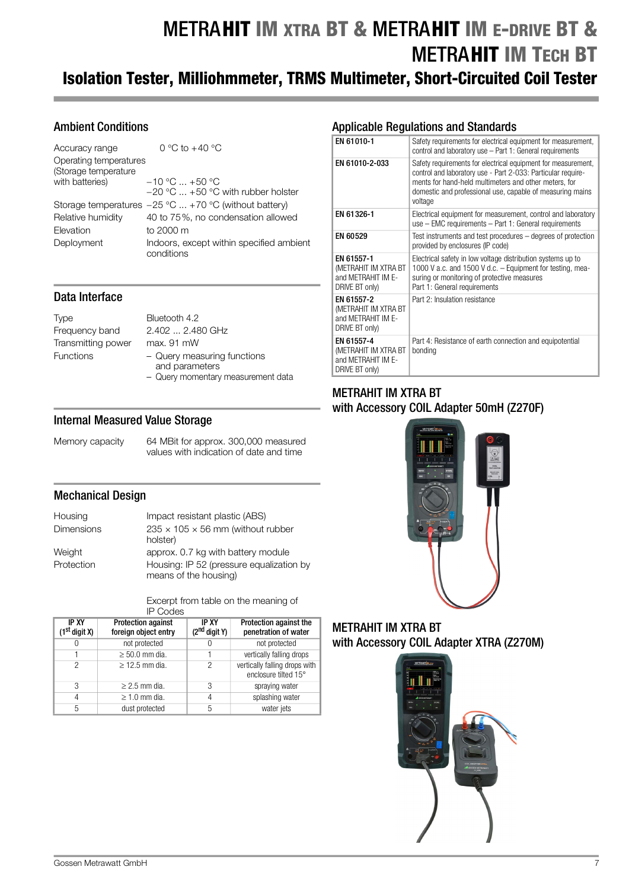## METRAHIT IM XTRA BT & METRAHIT IM E-DRIVE BT & **METRAHIT IM TECH BT** Isolation Tester, Milliohmmeter, TRMS Multimeter, Short-Circuited Coil Tester

## Ambient Conditions

| Accuracy range                                 | 0 °C to $+40$ °C                                        |
|------------------------------------------------|---------------------------------------------------------|
| Operating temperatures<br>(Storage temperature |                                                         |
| with batteries)                                | $-10$ °C $ +50$ °C                                      |
|                                                | $-20$ °C $\ldots$ +50 °C with rubber holster            |
|                                                | Storage temperatures $-25$ °C  +70 °C (without battery) |
| Relative humidity                              | 40 to 75%, no condensation allowed                      |
| Elevation                                      | to 2000 m                                               |
| Deployment                                     | Indoors, except within specified ambient<br>conditions  |

### Data Interface

Type Bluetooth 4.2 Transmitting power max. 91 mW

Frequency band 2.402 ... 2.480 GHz Functions – Query measuring functions and parameters – Query momentary measurement data

### Internal Measured Value Storage

Memory capacity 64 MBit for approx. 300,000 measured values with indication of date and time

### Mechanical Design

| Housing           | Impact resistant plastic (ABS)                                    |
|-------------------|-------------------------------------------------------------------|
| <b>Dimensions</b> | $235 \times 105 \times 56$ mm (without rubber<br>holster)         |
| Weight            | approx. 0.7 kg with battery module                                |
| Protection        | Housing: IP 52 (pressure equalization by<br>means of the housing) |

Excerpt from table on the meaning of IP Codes

| <b>IP XY</b><br>$(1st$ digit X) | <b>Protection against</b><br>foreign object entry | <b>IP XY</b><br>$(2^{nd}$ digit Y) | Protection against the<br>penetration of water        |
|---------------------------------|---------------------------------------------------|------------------------------------|-------------------------------------------------------|
| $\left( \right)$                | not protected                                     |                                    | not protected                                         |
|                                 | $\geq 50.0$ mm dia.                               |                                    | vertically falling drops                              |
| 2                               | $>$ 12.5 mm dia.                                  | 2                                  | vertically falling drops with<br>enclosure tilted 15° |
| 3                               | $\geq$ 2.5 mm dia.                                | 3                                  | spraying water                                        |
| 4                               | $\geq$ 1.0 mm dia.                                | 4                                  | splashing water                                       |
| 5                               | dust protected                                    | 5                                  | water jets                                            |

## Applicable Regulations and Standards

| EN 61010-1                                                                 | Safety requirements for electrical equipment for measurement,<br>control and laboratory use - Part 1: General requirements                                                                                                                                     |
|----------------------------------------------------------------------------|----------------------------------------------------------------------------------------------------------------------------------------------------------------------------------------------------------------------------------------------------------------|
| EN 61010-2-033                                                             | Safety requirements for electrical equipment for measurement,<br>control and laboratory use - Part 2-033: Particular require-<br>ments for hand-held multimeters and other meters, for<br>domestic and professional use, capable of measuring mains<br>voltage |
| EN 61326-1                                                                 | Electrical equipment for measurement, control and laboratory<br>use - EMC requirements - Part 1: General requirements                                                                                                                                          |
| EN 60529                                                                   | Test instruments and test procedures – degrees of protection<br>provided by enclosures (IP code)                                                                                                                                                               |
| EN 61557-1<br>(METRAHIT IM XTRA BT<br>and METRAHIT IM E-<br>DRIVE BT only) | Electrical safety in low voltage distribution systems up to<br>1000 V a.c. and 1500 V d.c. - Equipment for testing, mea-<br>suring or monitoring of protective measures<br>Part 1: General requirements                                                        |
| EN 61557-2<br>(METRAHIT IM XTRA BT<br>and METRAHIT IM E-<br>DRIVE BT only) | Part 2: Insulation resistance                                                                                                                                                                                                                                  |
| EN 61557-4<br>(METRAHIT IM XTRA BT<br>and METRAHIT IM E-<br>DRIVE BT only) | Part 4: Resistance of earth connection and equipotential<br>bonding                                                                                                                                                                                            |

## METRAHIT IM XTRA BT with Accessory COIL Adapter 50mH (Z270F)



METRAHIT IM XTRA BT with Accessory COIL Adapter XTRA (Z270M)